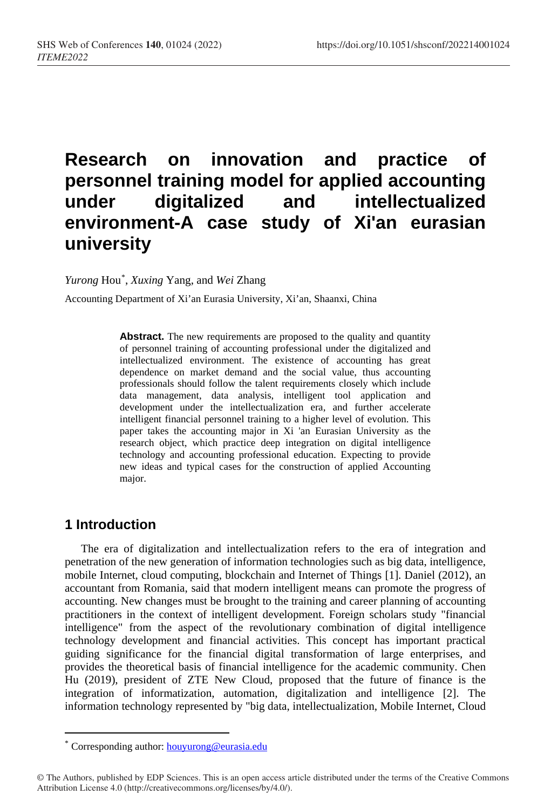# **Research on innovation and practice of personnel training model for applied accounting under digitalized and intellectualized environment-A case study of Xi'an eurasian university**

*Yurong* Hou[\\*](#page-0-0) , *Xuxing* Yang, and *Wei* Zhang

Accounting Department of Xi'an Eurasia University, Xi'an, Shaanxi, China

**Abstract.** The new requirements are proposed to the quality and quantity of personnel training of accounting professional under the digitalized and intellectualized environment. The existence of accounting has great dependence on market demand and the social value, thus accounting professionals should follow the talent requirements closely which include data management, data analysis, intelligent tool application and development under the intellectualization era, and further accelerate intelligent financial personnel training to a higher level of evolution. This paper takes the accounting major in Xi 'an Eurasian University as the research object, which practice deep integration on digital intelligence technology and accounting professional education. Expecting to provide new ideas and typical cases for the construction of applied Accounting major.

# **1 Introduction**

 $\overline{a}$ 

The era of digitalization and intellectualization refers to the era of integration and penetration of the new generation of information technologies such as big data, intelligence, mobile Internet, cloud computing, blockchain and Internet of Things [1]. Daniel (2012), an accountant from Romania, said that modern intelligent means can promote the progress of accounting. New changes must be brought to the training and career planning of accounting practitioners in the context of intelligent development. Foreign scholars study "financial intelligence" from the aspect of the revolutionary combination of digital intelligence technology development and financial activities. This concept has important practical guiding significance for the financial digital transformation of large enterprises, and provides the theoretical basis of financial intelligence for the academic community. Chen Hu (2019), president of ZTE New Cloud, proposed that the future of finance is the integration of informatization, automation, digitalization and intelligence [2]. The information technology represented by "big data, intellectualization, Mobile Internet, Cloud

Corresponding author: houyurong@eurasia.edu

<span id="page-0-0"></span><sup>©</sup> The Authors, published by EDP Sciences. This is an open access article distributed under the terms of the Creative Commons Attribution License 4.0 (http://creativecommons.org/licenses/by/4.0/).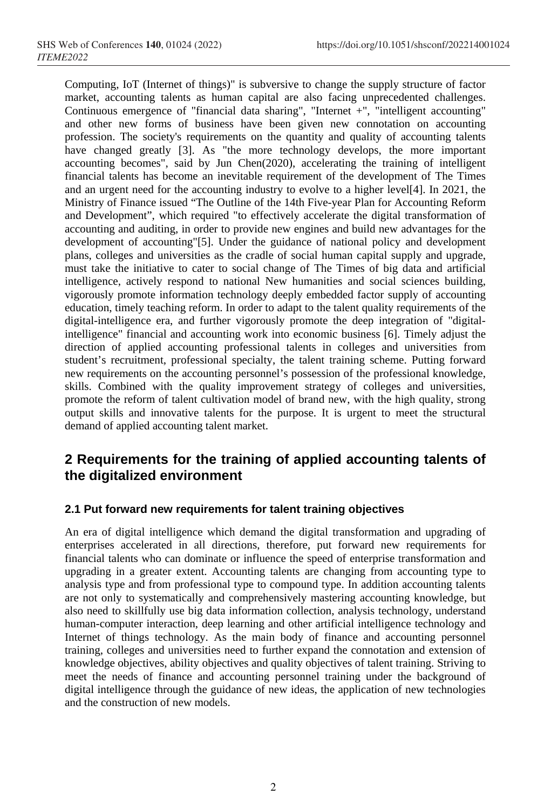Computing, IoT (Internet of things)" is subversive to change the supply structure of factor market, accounting talents as human capital are also facing unprecedented challenges. Continuous emergence of "financial data sharing", "Internet +", "intelligent accounting" and other new forms of business have been given new connotation on accounting profession. The society's requirements on the quantity and quality of accounting talents have changed greatly [3]. As "the more technology develops, the more important accounting becomes", said by Jun Chen(2020), accelerating the training of intelligent financial talents has become an inevitable requirement of the development of The Times and an urgent need for the accounting industry to evolve to a higher level[4]. In 2021, the Ministry of Finance issued "The Outline of the 14th Five-year Plan for Accounting Reform and Development", which required "to effectively accelerate the digital transformation of accounting and auditing, in order to provide new engines and build new advantages for the development of accounting"[5]. Under the guidance of national policy and development plans, colleges and universities as the cradle of social human capital supply and upgrade, must take the initiative to cater to social change of The Times of big data and artificial intelligence, actively respond to national New humanities and social sciences building, vigorously promote information technology deeply embedded factor supply of accounting education, timely teaching reform. In order to adapt to the talent quality requirements of the digital-intelligence era, and further vigorously promote the deep integration of "digitalintelligence" financial and accounting work into economic business [6]. Timely adjust the direction of applied accounting professional talents in colleges and universities from student's recruitment, professional specialty, the talent training scheme. Putting forward new requirements on the accounting personnel's possession of the professional knowledge, skills. Combined with the quality improvement strategy of colleges and universities, promote the reform of talent cultivation model of brand new, with the high quality, strong output skills and innovative talents for the purpose. It is urgent to meet the structural demand of applied accounting talent market.

# **2 Requirements for the training of applied accounting talents of the digitalized environment**

### **2.1 Put forward new requirements for talent training objectives**

An era of digital intelligence which demand the digital transformation and upgrading of enterprises accelerated in all directions, therefore, put forward new requirements for financial talents who can dominate or influence the speed of enterprise transformation and upgrading in a greater extent. Accounting talents are changing from accounting type to analysis type and from professional type to compound type. In addition accounting talents are not only to systematically and comprehensively mastering accounting knowledge, but also need to skillfully use big data information collection, analysis technology, understand human-computer interaction, deep learning and other artificial intelligence technology and Internet of things technology. As the main body of finance and accounting personnel training, colleges and universities need to further expand the connotation and extension of knowledge objectives, ability objectives and quality objectives of talent training. Striving to meet the needs of finance and accounting personnel training under the background of digital intelligence through the guidance of new ideas, the application of new technologies and the construction of new models.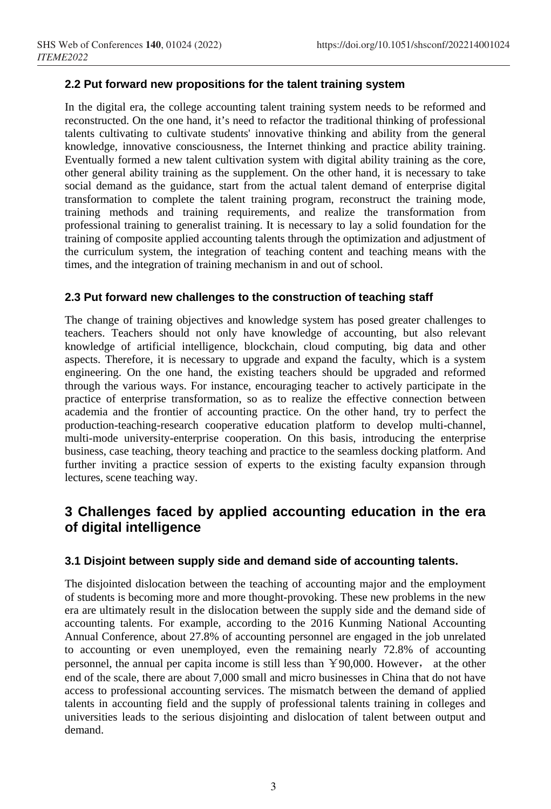# **2.2 Put forward new propositions for the talent training system**

In the digital era, the college accounting talent training system needs to be reformed and reconstructed. On the one hand, it's need to refactor the traditional thinking of professional talents cultivating to cultivate students' innovative thinking and ability from the general knowledge, innovative consciousness, the Internet thinking and practice ability training. Eventually formed a new talent cultivation system with digital ability training as the core, other general ability training as the supplement. On the other hand, it is necessary to take social demand as the guidance, start from the actual talent demand of enterprise digital transformation to complete the talent training program, reconstruct the training mode, training methods and training requirements, and realize the transformation from professional training to generalist training. It is necessary to lay a solid foundation for the training of composite applied accounting talents through the optimization and adjustment of the curriculum system, the integration of teaching content and teaching means with the times, and the integration of training mechanism in and out of school.

### **2.3 Put forward new challenges to the construction of teaching staff**

The change of training objectives and knowledge system has posed greater challenges to teachers. Teachers should not only have knowledge of accounting, but also relevant knowledge of artificial intelligence, blockchain, cloud computing, big data and other aspects. Therefore, it is necessary to upgrade and expand the faculty, which is a system engineering. On the one hand, the existing teachers should be upgraded and reformed through the various ways. For instance, encouraging teacher to actively participate in the practice of enterprise transformation, so as to realize the effective connection between academia and the frontier of accounting practice. On the other hand, try to perfect the production-teaching-research cooperative education platform to develop multi-channel, multi-mode university-enterprise cooperation. On this basis, introducing the enterprise business, case teaching, theory teaching and practice to the seamless docking platform. And further inviting a practice session of experts to the existing faculty expansion through lectures, scene teaching way.

# **3 Challenges faced by applied accounting education in the era of digital intelligence**

### **3.1 Disjoint between supply side and demand side of accounting talents.**

The disjointed dislocation between the teaching of accounting major and the employment of students is becoming more and more thought-provoking. These new problems in the new era are ultimately result in the dislocation between the supply side and the demand side of accounting talents. For example, according to the 2016 Kunming National Accounting Annual Conference, about 27.8% of accounting personnel are engaged in the job unrelated to accounting or even unemployed, even the remaining nearly 72.8% of accounting personnel, the annual per capita income is still less than ¥90,000. However, at the other end of the scale, there are about 7,000 small and micro businesses in China that do not have access to professional accounting services. The mismatch between the demand of applied talents in accounting field and the supply of professional talents training in colleges and universities leads to the serious disjointing and dislocation of talent between output and demand.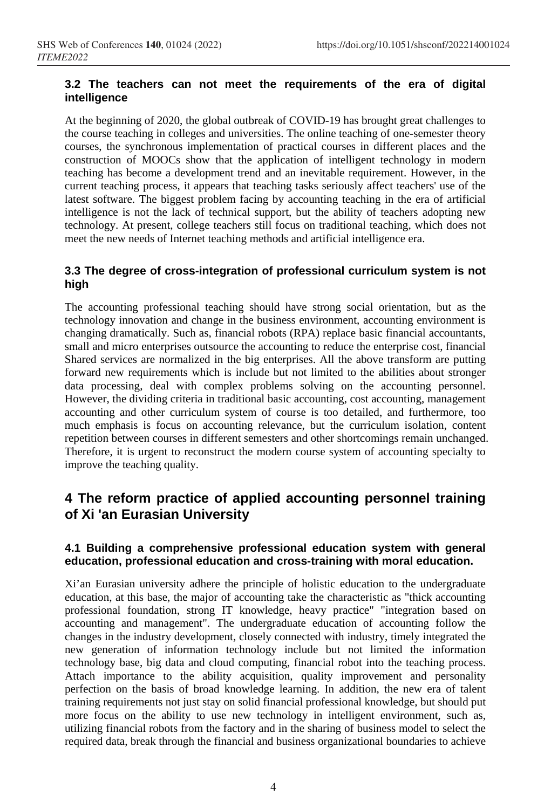## **3.2 The teachers can not meet the requirements of the era of digital intelligence**

At the beginning of 2020, the global outbreak of COVID-19 has brought great challenges to the course teaching in colleges and universities. The online teaching of one-semester theory courses, the synchronous implementation of practical courses in different places and the construction of MOOCs show that the application of intelligent technology in modern teaching has become a development trend and an inevitable requirement. However, in the current teaching process, it appears that teaching tasks seriously affect teachers' use of the latest software. The biggest problem facing by accounting teaching in the era of artificial intelligence is not the lack of technical support, but the ability of teachers adopting new technology. At present, college teachers still focus on traditional teaching, which does not meet the new needs of Internet teaching methods and artificial intelligence era.

# **3.3 The degree of cross-integration of professional curriculum system is not high**

The accounting professional teaching should have strong social orientation, but as the technology innovation and change in the business environment, accounting environment is changing dramatically. Such as, financial robots (RPA) replace basic financial accountants, small and micro enterprises outsource the accounting to reduce the enterprise cost, financial Shared services are normalized in the big enterprises. All the above transform are putting forward new requirements which is include but not limited to the abilities about stronger data processing, deal with complex problems solving on the accounting personnel. However, the dividing criteria in traditional basic accounting, cost accounting, management accounting and other curriculum system of course is too detailed, and furthermore, too much emphasis is focus on accounting relevance, but the curriculum isolation, content repetition between courses in different semesters and other shortcomings remain unchanged. Therefore, it is urgent to reconstruct the modern course system of accounting specialty to improve the teaching quality.

# **4 The reform practice of applied accounting personnel training of Xi 'an Eurasian University**

### **4.1 Building a comprehensive professional education system with general education, professional education and cross-training with moral education.**

Xi'an Eurasian university adhere the principle of holistic education to the undergraduate education, at this base, the major of accounting take the characteristic as "thick accounting professional foundation, strong IT knowledge, heavy practice" "integration based on accounting and management". The undergraduate education of accounting follow the changes in the industry development, closely connected with industry, timely integrated the new generation of information technology include but not limited the information technology base, big data and cloud computing, financial robot into the teaching process. Attach importance to the ability acquisition, quality improvement and personality perfection on the basis of broad knowledge learning. In addition, the new era of talent training requirements not just stay on solid financial professional knowledge, but should put more focus on the ability to use new technology in intelligent environment, such as, utilizing financial robots from the factory and in the sharing of business model to select the required data, break through the financial and business organizational boundaries to achieve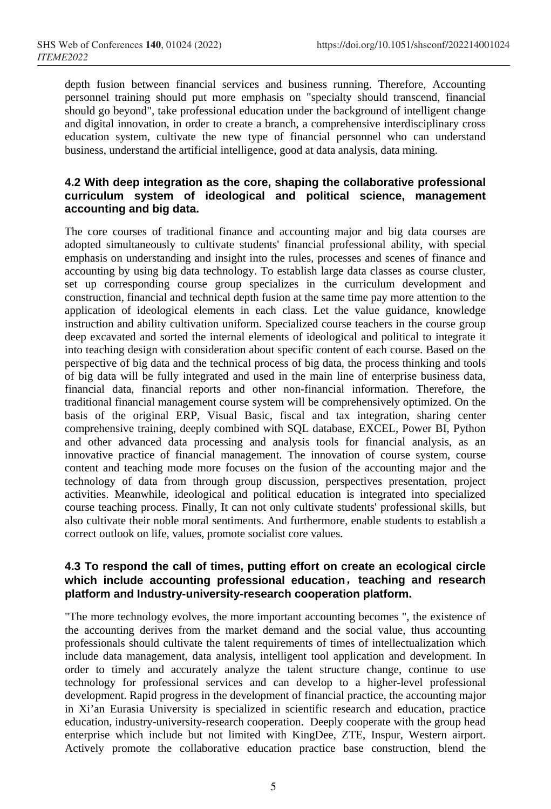depth fusion between financial services and business running. Therefore, Accounting personnel training should put more emphasis on "specialty should transcend, financial should go beyond", take professional education under the background of intelligent change and digital innovation, in order to create a branch, a comprehensive interdisciplinary cross education system, cultivate the new type of financial personnel who can understand business, understand the artificial intelligence, good at data analysis, data mining.

### **4.2 With deep integration as the core, shaping the collaborative professional curriculum system of ideological and political science, management accounting and big data.**

The core courses of traditional finance and accounting major and big data courses are adopted simultaneously to cultivate students' financial professional ability, with special emphasis on understanding and insight into the rules, processes and scenes of finance and accounting by using big data technology. To establish large data classes as course cluster, set up corresponding course group specializes in the curriculum development and construction, financial and technical depth fusion at the same time pay more attention to the application of ideological elements in each class. Let the value guidance, knowledge instruction and ability cultivation uniform. Specialized course teachers in the course group deep excavated and sorted the internal elements of ideological and political to integrate it into teaching design with consideration about specific content of each course. Based on the perspective of big data and the technical process of big data, the process thinking and tools of big data will be fully integrated and used in the main line of enterprise business data, financial data, financial reports and other non-financial information. Therefore, the traditional financial management course system will be comprehensively optimized. On the basis of the original ERP, Visual Basic, fiscal and tax integration, sharing center comprehensive training, deeply combined with SQL database, EXCEL, Power BI, Python and other advanced data processing and analysis tools for financial analysis, as an innovative practice of financial management. The innovation of course system, course content and teaching mode more focuses on the fusion of the accounting major and the technology of data from through group discussion, perspectives presentation, project activities. Meanwhile, ideological and political education is integrated into specialized course teaching process. Finally, It can not only cultivate students' professional skills, but also cultivate their noble moral sentiments. And furthermore, enable students to establish a correct outlook on life, values, promote socialist core values.

### **4.3 To respond the call of times, putting effort on create an ecological circle which include accounting professional education**,**teaching and research platform and Industry-university-research cooperation platform.**

"The more technology evolves, the more important accounting becomes ", the existence of the accounting derives from the market demand and the social value, thus accounting professionals should cultivate the talent requirements of times of intellectualization which include data management, data analysis, intelligent tool application and development. In order to timely and accurately analyze the talent structure change, continue to use technology for professional services and can develop to a higher-level professional development. Rapid progress in the development of financial practice, the accounting major in Xi'an Eurasia University is specialized in scientific research and education, practice education, industry-university-research cooperation. Deeply cooperate with the group head enterprise which include but not limited with KingDee, ZTE, Inspur, Western airport. Actively promote the collaborative education practice base construction, blend the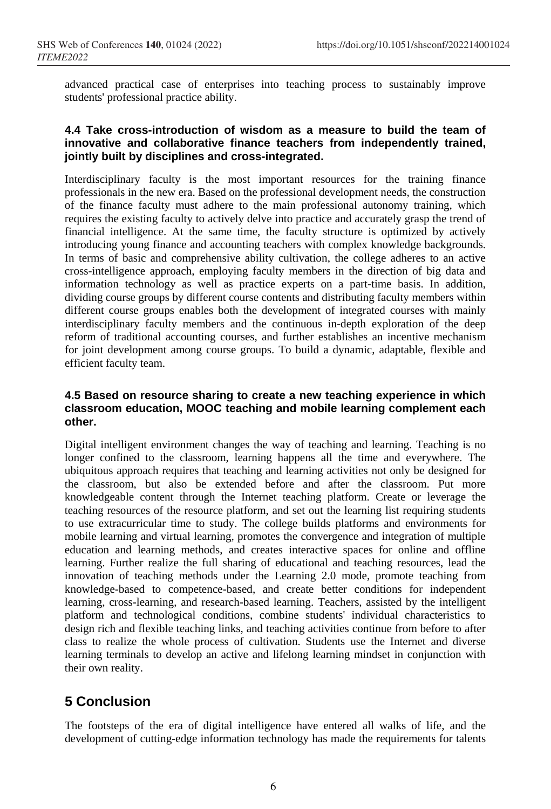advanced practical case of enterprises into teaching process to sustainably improve students' professional practice ability.

### **4.4 Take cross-introduction of wisdom as a measure to build the team of innovative and collaborative finance teachers from independently trained, jointly built by disciplines and cross-integrated.**

Interdisciplinary faculty is the most important resources for the training finance professionals in the new era. Based on the professional development needs, the construction of the finance faculty must adhere to the main professional autonomy training, which requires the existing faculty to actively delve into practice and accurately grasp the trend of financial intelligence. At the same time, the faculty structure is optimized by actively introducing young finance and accounting teachers with complex knowledge backgrounds. In terms of basic and comprehensive ability cultivation, the college adheres to an active cross-intelligence approach, employing faculty members in the direction of big data and information technology as well as practice experts on a part-time basis. In addition, dividing course groups by different course contents and distributing faculty members within different course groups enables both the development of integrated courses with mainly interdisciplinary faculty members and the continuous in-depth exploration of the deep reform of traditional accounting courses, and further establishes an incentive mechanism for joint development among course groups. To build a dynamic, adaptable, flexible and efficient faculty team.

#### **4.5 Based on resource sharing to create a new teaching experience in which classroom education, MOOC teaching and mobile learning complement each other.**

Digital intelligent environment changes the way of teaching and learning. Teaching is no longer confined to the classroom, learning happens all the time and everywhere. The ubiquitous approach requires that teaching and learning activities not only be designed for the classroom, but also be extended before and after the classroom. Put more knowledgeable content through the Internet teaching platform. Create or leverage the teaching resources of the resource platform, and set out the learning list requiring students to use extracurricular time to study. The college builds platforms and environments for mobile learning and virtual learning, promotes the convergence and integration of multiple education and learning methods, and creates interactive spaces for online and offline learning. Further realize the full sharing of educational and teaching resources, lead the innovation of teaching methods under the Learning 2.0 mode, promote teaching from knowledge-based to competence-based, and create better conditions for independent learning, cross-learning, and research-based learning. Teachers, assisted by the intelligent platform and technological conditions, combine students' individual characteristics to design rich and flexible teaching links, and teaching activities continue from before to after class to realize the whole process of cultivation. Students use the Internet and diverse learning terminals to develop an active and lifelong learning mindset in conjunction with their own reality.

# **5 Conclusion**

The footsteps of the era of digital intelligence have entered all walks of life, and the development of cutting-edge information technology has made the requirements for talents